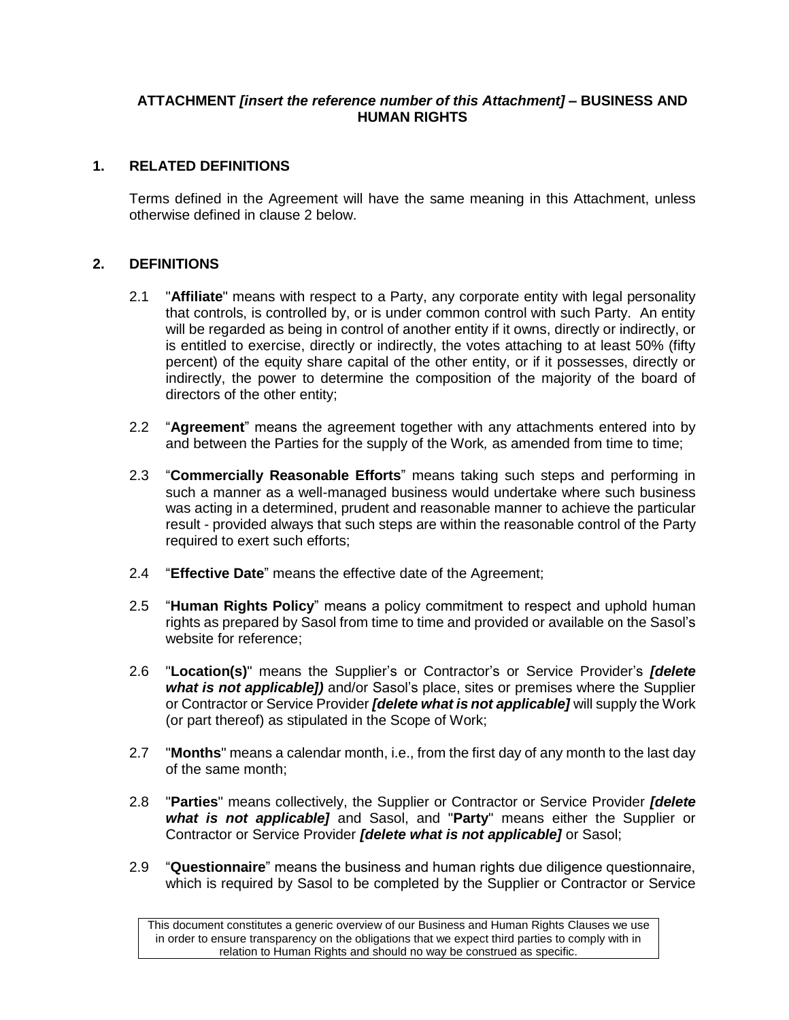### **ATTACHMENT** *[insert the reference number of this Attachment]* **– BUSINESS AND HUMAN RIGHTS**

# **1. RELATED DEFINITIONS**

Terms defined in the Agreement will have the same meaning in this Attachment, unless otherwise defined in clause [2](#page-0-0) below.

# <span id="page-0-0"></span>**2. DEFINITIONS**

- 2.1 "**Affiliate**" means with respect to a Party, any corporate entity with legal personality that controls, is controlled by, or is under common control with such Party. An entity will be regarded as being in control of another entity if it owns, directly or indirectly, or is entitled to exercise, directly or indirectly, the votes attaching to at least 50% (fifty percent) of the equity share capital of the other entity, or if it possesses, directly or indirectly, the power to determine the composition of the majority of the board of directors of the other entity;
- 2.2 "**Agreement**" means the agreement together with any attachments entered into by and between the Parties for the supply of the Work*,* as amended from time to time;
- 2.3 "**Commercially Reasonable Efforts**" means taking such steps and performing in such a manner as a well-managed business would undertake where such business was acting in a determined, prudent and reasonable manner to achieve the particular result - provided always that such steps are within the reasonable control of the Party required to exert such efforts;
- 2.4 "**Effective Date**" means the effective date of the Agreement;
- 2.5 "**Human Rights Policy**" means a policy commitment to respect and uphold human rights as prepared by Sasol from time to time and provided or available on the Sasol's website for reference;
- 2.6 "**Location(s)**" means the Supplier's or Contractor's or Service Provider's *[delete what is not applicable])* and/or Sasol's place, sites or premises where the Supplier or Contractor or Service Provider *[delete what is not applicable]* will supply the Work (or part thereof) as stipulated in the Scope of Work;
- 2.7 "**Months**" means a calendar month, i.e., from the first day of any month to the last day of the same month;
- 2.8 "**Parties**" means collectively, the Supplier or Contractor or Service Provider *[delete what is not applicable]* and Sasol, and "**Party**" means either the Supplier or Contractor or Service Provider *[delete what is not applicable]* or Sasol;
- 2.9 "**Questionnaire**" means the business and human rights due diligence questionnaire, which is required by Sasol to be completed by the Supplier or Contractor or Service

This document constitutes a generic overview of our Business and Human Rights Clauses we use in order to ensure transparency on the obligations that we expect third parties to comply with in relation to Human Rights and should no way be construed as specific.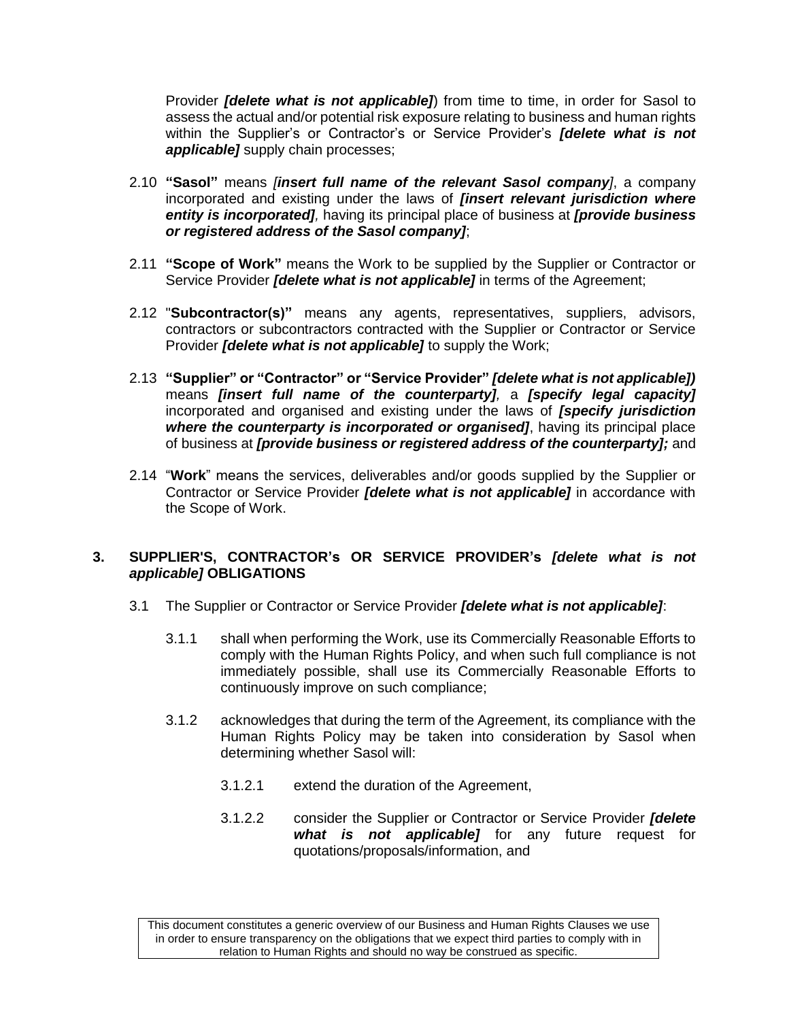Provider *[delete what is not applicable]*) from time to time, in order for Sasol to assess the actual and/or potential risk exposure relating to business and human rights within the Supplier's or Contractor's or Service Provider's *[delete what is not applicable]* supply chain processes;

- 2.10 **"Sasol"** means *[insert full name of the relevant Sasol company]*, a company incorporated and existing under the laws of *[insert relevant jurisdiction where entity is incorporated],* having its principal place of business at *[provide business or registered address of the Sasol company]*;
- 2.11 **"Scope of Work"** means the Work to be supplied by the Supplier or Contractor or Service Provider *[delete what is not applicable]* in terms of the Agreement;
- 2.12 "**Subcontractor(s)"** means any agents, representatives, suppliers, advisors, contractors or subcontractors contracted with the Supplier or Contractor or Service Provider *[delete what is not applicable]* to supply the Work;
- 2.13 **"Supplier" or "Contractor" or "Service Provider"** *[delete what is not applicable])*  means *[insert full name of the counterparty],* a *[specify legal capacity]* incorporated and organised and existing under the laws of *[specify jurisdiction where the counterparty is incorporated or organised]*, having its principal place of business at *[provide business or registered address of the counterparty];* and
- 2.14 "**Work**" means the services, deliverables and/or goods supplied by the Supplier or Contractor or Service Provider *[delete what is not applicable]* in accordance with the Scope of Work.

#### <span id="page-1-0"></span>**3. SUPPLIER'S, CONTRACTOR's OR SERVICE PROVIDER's** *[delete what is not applicable]* **OBLIGATIONS**

- 3.1 The Supplier or Contractor or Service Provider *[delete what is not applicable]*:
	- 3.1.1 shall when performing the Work, use its Commercially Reasonable Efforts to comply with the Human Rights Policy, and when such full compliance is not immediately possible, shall use its Commercially Reasonable Efforts to continuously improve on such compliance;
	- 3.1.2 acknowledges that during the term of the Agreement, its compliance with the Human Rights Policy may be taken into consideration by Sasol when determining whether Sasol will:
		- 3.1.2.1 extend the duration of the Agreement,
		- 3.1.2.2 consider the Supplier or Contractor or Service Provider *[delete what is not applicable]* for any future request for quotations/proposals/information, and

This document constitutes a generic overview of our Business and Human Rights Clauses we use in order to ensure transparency on the obligations that we expect third parties to comply with in relation to Human Rights and should no way be construed as specific.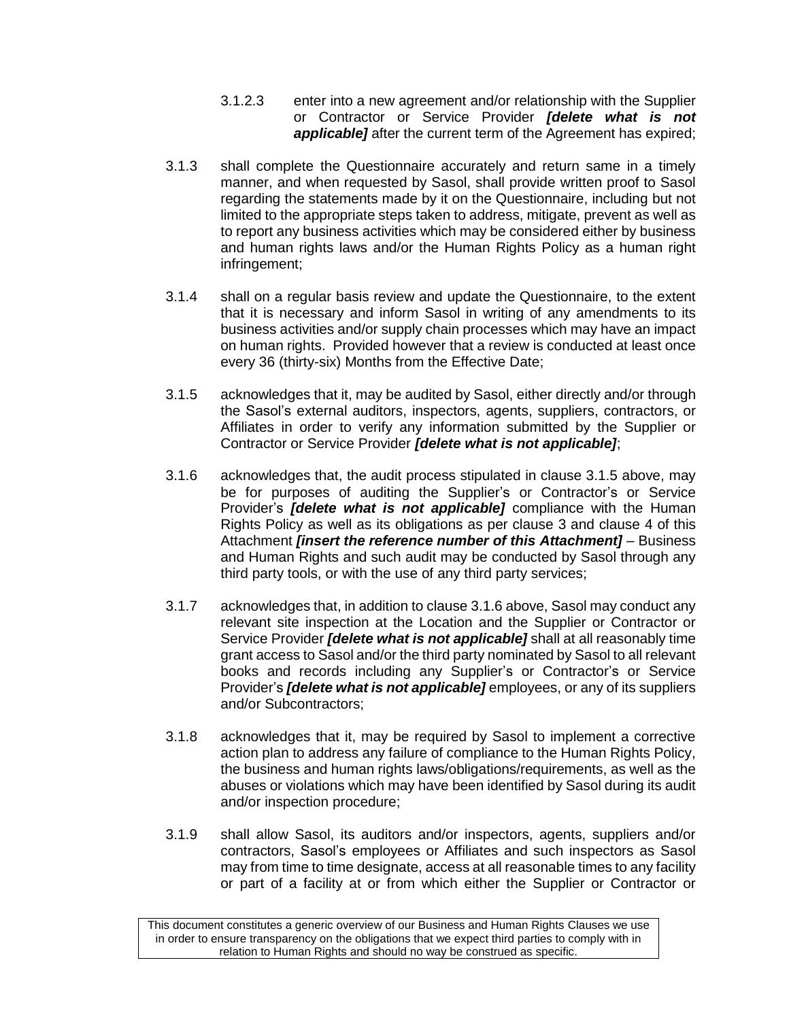- 3.1.2.3 enter into a new agreement and/or relationship with the Supplier or Contractor or Service Provider *[delete what is not applicable]* after the current term of the Agreement has expired;
- <span id="page-2-2"></span>3.1.3 shall complete the Questionnaire accurately and return same in a timely manner, and when requested by Sasol, shall provide written proof to Sasol regarding the statements made by it on the Questionnaire, including but not limited to the appropriate steps taken to address, mitigate, prevent as well as to report any business activities which may be considered either by business and human rights laws and/or the Human Rights Policy as a human right infringement;
- 3.1.4 shall on a regular basis review and update the Questionnaire, to the extent that it is necessary and inform Sasol in writing of any amendments to its business activities and/or supply chain processes which may have an impact on human rights. Provided however that a review is conducted at least once every 36 (thirty-six) Months from the Effective Date;
- <span id="page-2-0"></span>3.1.5 acknowledges that it, may be audited by Sasol, either directly and/or through the Sasol's external auditors, inspectors, agents, suppliers, contractors, or Affiliates in order to verify any information submitted by the Supplier or Contractor or Service Provider *[delete what is not applicable]*;
- <span id="page-2-1"></span>3.1.6 acknowledges that, the audit process stipulated in clause [3.1.5](#page-2-0) above, may be for purposes of auditing the Supplier's or Contractor's or Service Provider's *[delete what is not applicable]* compliance with the Human Rights Policy as well as its obligations as per clause [3](#page-1-0) and clause [4](#page-3-0) of this Attachment *[insert the reference number of this Attachment]* – Business and Human Rights and such audit may be conducted by Sasol through any third party tools, or with the use of any third party services;
- 3.1.7 acknowledges that, in addition to claus[e 3.1.6](#page-2-1) above, Sasol may conduct any relevant site inspection at the Location and the Supplier or Contractor or Service Provider *[delete what is not applicable]* shall at all reasonably time grant access to Sasol and/or the third party nominated by Sasol to all relevant books and records including any Supplier's or Contractor's or Service Provider's *[delete what is not applicable]* employees, or any of its suppliers and/or Subcontractors;
- 3.1.8 acknowledges that it, may be required by Sasol to implement a corrective action plan to address any failure of compliance to the Human Rights Policy, the business and human rights laws/obligations/requirements, as well as the abuses or violations which may have been identified by Sasol during its audit and/or inspection procedure;
- 3.1.9 shall allow Sasol, its auditors and/or inspectors, agents, suppliers and/or contractors, Sasol's employees or Affiliates and such inspectors as Sasol may from time to time designate, access at all reasonable times to any facility or part of a facility at or from which either the Supplier or Contractor or

This document constitutes a generic overview of our Business and Human Rights Clauses we use in order to ensure transparency on the obligations that we expect third parties to comply with in relation to Human Rights and should no way be construed as specific.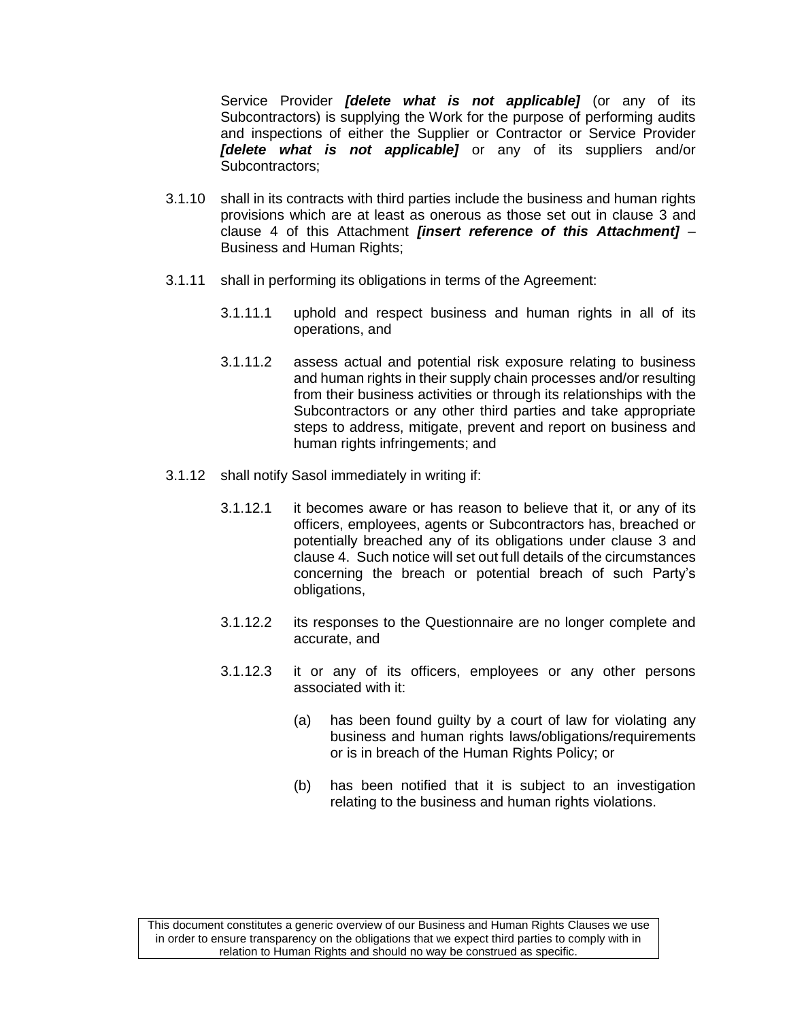<span id="page-3-0"></span>Service Provider *[delete what is not applicable]* (or any of its Subcontractors) is supplying the Work for the purpose of performing audits and inspections of either the Supplier or Contractor or Service Provider *[delete what is not applicable]* or any of its suppliers and/or Subcontractors;

- 3.1.10 shall in its contracts with third parties include the business and human rights provisions which are at least as onerous as those set out in clause [3](#page-1-0) and clause [4](#page-3-0) of this Attachment *[insert reference of this Attachment]* – Business and Human Rights;
- 3.1.11 shall in performing its obligations in terms of the Agreement:
	- 3.1.11.1 uphold and respect business and human rights in all of its operations, and
	- 3.1.11.2 assess actual and potential risk exposure relating to business and human rights in their supply chain processes and/or resulting from their business activities or through its relationships with the Subcontractors or any other third parties and take appropriate steps to address, mitigate, prevent and report on business and human rights infringements; and
- 3.1.12 shall notify Sasol immediately in writing if:
	- 3.1.12.1 it becomes aware or has reason to believe that it, or any of its officers, employees, agents or Subcontractors has, breached or potentially breached any of its obligations under clause [3](#page-1-0) and clause [4.](#page-3-0) Such notice will set out full details of the circumstances concerning the breach or potential breach of such Party's obligations,
	- 3.1.12.2 its responses to the Questionnaire are no longer complete and accurate, and
	- 3.1.12.3 it or any of its officers, employees or any other persons associated with it:
		- (a) has been found guilty by a court of law for violating any business and human rights laws/obligations/requirements or is in breach of the Human Rights Policy; or
		- (b) has been notified that it is subject to an investigation relating to the business and human rights violations.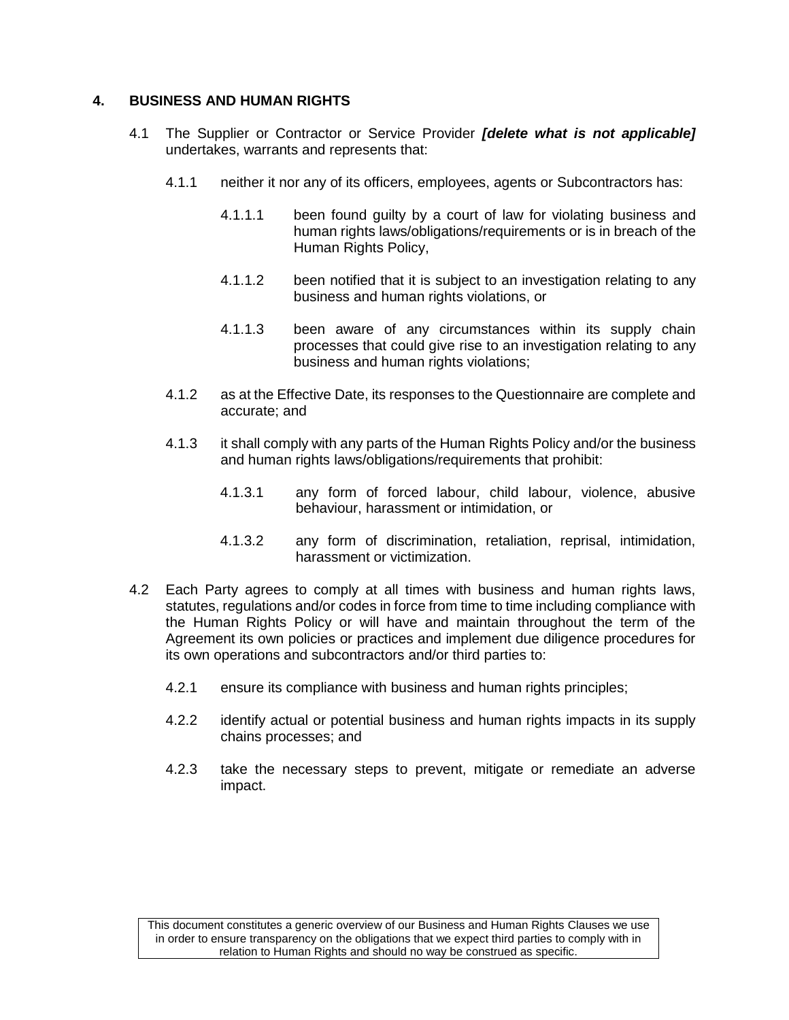### <span id="page-4-0"></span>**4. BUSINESS AND HUMAN RIGHTS**

- 4.1 The Supplier or Contractor or Service Provider *[delete what is not applicable]* undertakes, warrants and represents that:
	- 4.1.1 neither it nor any of its officers, employees, agents or Subcontractors has:
		- 4.1.1.1 been found guilty by a court of law for violating business and human rights laws/obligations/requirements or is in breach of the Human Rights Policy,
		- 4.1.1.2 been notified that it is subject to an investigation relating to any business and human rights violations, or
		- 4.1.1.3 been aware of any circumstances within its supply chain processes that could give rise to an investigation relating to any business and human rights violations;
	- 4.1.2 as at the Effective Date, its responses to the Questionnaire are complete and accurate; and
	- 4.1.3 it shall comply with any parts of the Human Rights Policy and/or the business and human rights laws/obligations/requirements that prohibit:
		- 4.1.3.1 any form of forced labour, child labour, violence, abusive behaviour, harassment or intimidation, or
		- 4.1.3.2 any form of discrimination, retaliation, reprisal, intimidation, harassment or victimization.
- <span id="page-4-1"></span>4.2 Each Party agrees to comply at all times with business and human rights laws, statutes, regulations and/or codes in force from time to time including compliance with the Human Rights Policy or will have and maintain throughout the term of the Agreement its own policies or practices and implement due diligence procedures for its own operations and subcontractors and/or third parties to:
	- 4.2.1 ensure its compliance with business and human rights principles;
	- 4.2.2 identify actual or potential business and human rights impacts in its supply chains processes; and
	- 4.2.3 take the necessary steps to prevent, mitigate or remediate an adverse impact.